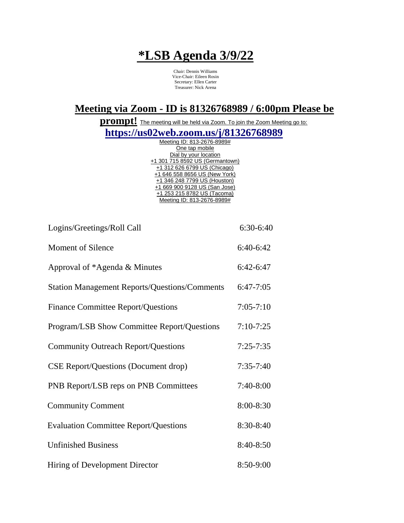## **\*LSB Agenda 3/9/22**

Chair: Dennis Williams Vice-Chair: Eileen Rosin Secretary: Ellen Carter Treasurer: Nick Arena

## **Meeting via Zoom - ID is 81326768989 / 6:00pm Please be**

**prompt!** The meeting will be held via Zoom. To join the Zoom Meeting go to:

**https://us02web.zoom.us/j/81326768989**

| Meeting ID: 813-2676-8989#      |
|---------------------------------|
| One tap mobile                  |
| Dial by your location           |
| +1 301 715 8592 US (Germantown) |
| +1 312 626 6799 US (Chicago)    |
| +1 646 558 8656 US (New York)   |
| +1 346 248 7799 US (Houston)    |
| +1 669 900 9128 US (San Jose)   |
| +1 253 215 8782 US (Tacoma)     |
| Meeting ID: 813-2676-8989#      |
|                                 |

| Logins/Greetings/Roll Call                           | 6:30-6:40     |
|------------------------------------------------------|---------------|
| <b>Moment of Silence</b>                             | 6:40-6:42     |
| Approval of *Agenda & Minutes                        | $6:42-6:47$   |
| <b>Station Management Reports/Questions/Comments</b> | $6:47-7:05$   |
| <b>Finance Committee Report/Questions</b>            | $7:05 - 7:10$ |
| Program/LSB Show Committee Report/Questions          | $7:10-7:25$   |
| <b>Community Outreach Report/Questions</b>           | $7:25 - 7:35$ |
| <b>CSE Report/Questions (Document drop)</b>          | $7:35-7:40$   |
| PNB Report/LSB reps on PNB Committees                | $7:40-8:00$   |
| <b>Community Comment</b>                             | $8:00 - 8:30$ |
| <b>Evaluation Committee Report/Questions</b>         | 8:30-8:40     |
| <b>Unfinished Business</b>                           | 8:40-8:50     |
| Hiring of Development Director                       | 8:50-9:00     |